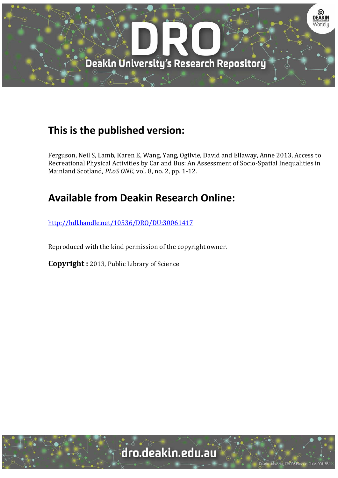

# **This is the published version:**

Ferguson, Neil S, Lamb, Karen E, Wang, Yang, Ogilvie, David and Ellaway, Anne 2013, Access to Recreational Physical Activities by Car and Bus: An Assessment of Socio-Spatial Inequalities in Mainland Scotland, *PLoS ONE*, vol. 8, no. 2, pp. 1-12.

# **Available from Deakin Research Online:**

http://hdl.handle.net/10536/DRO/DU:30061417

Reproduced with the kind permission of the copyright owner.

**Copyright** : 2013, Public Library of Science

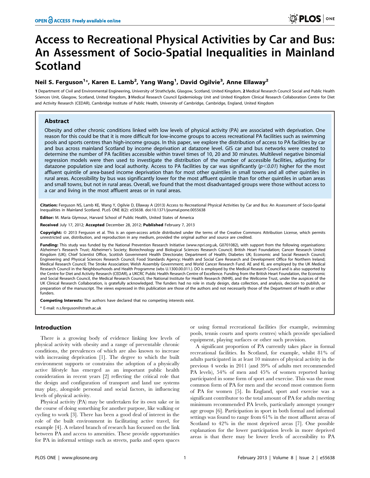# Access to Recreational Physical Activities by Car and Bus: An Assessment of Socio-Spatial Inequalities in Mainland Scotland

# Neil S. Ferguson<sup>1</sup>\*, Karen E. Lamb<sup>2</sup>, Yang Wang<sup>1</sup>, David Ogilvie<sup>3</sup>, Anne Ellaway<sup>2</sup>

1 Department of Civil and Environmental Engineering, University of Strathclyde, Glasgow, Scotland, United Kingdom, 2 Medical Research Council Social and Public Health Sciences Unit, Glasgow, Scotland, United Kingdom, 3 Medical Research Council Epidemiology Unit and United Kingdom Clinical Research Collaboration Centre for Diet and Activity Research (CEDAR), Cambridge Institute of Public Health, University of Cambridge, Cambridge, England, United Kingdom

## Abstract

Obesity and other chronic conditions linked with low levels of physical activity (PA) are associated with deprivation. One reason for this could be that it is more difficult for low-income groups to access recreational PA facilities such as swimming pools and sports centres than high-income groups. In this paper, we explore the distribution of access to PA facilities by car and bus across mainland Scotland by income deprivation at datazone level. GIS car and bus networks were created to determine the number of PA facilities accessible within travel times of 10, 20 and 30 minutes. Multilevel negative binomial regression models were then used to investigate the distribution of the number of accessible facilities, adjusting for datazone population size and local authority. Access to PA facilities by car was significantly  $(p<0.01)$  higher for the most affluent quintile of area-based income deprivation than for most other quintiles in small towns and all other quintiles in rural areas. Accessibility by bus was significantly lower for the most affluent quintile than for other quintiles in urban areas and small towns, but not in rural areas. Overall, we found that the most disadvantaged groups were those without access to a car and living in the most affluent areas or in rural areas.

Citation: Ferguson NS, Lamb KE, Wang Y, Ogilvie D, Ellaway A (2013) Access to Recreational Physical Activities by Car and Bus: An Assessment of Socio-Spatial Inequalities in Mainland Scotland. PLoS ONE 8(2): e55638. doi:10.1371/journal.pone.0055638

Editor: M. Maria Glymour, Harvard School of Public Health, United States of America

Received July 17, 2012; Accepted December 28, 2012; Published February 7, 2013

**Copyright:** © 2013 Ferguson et al. This is an open-access article distributed under the terms of the Creative Commons Attribution License, which permits unrestricted use, distribution, and reproduction in any medium, provided the original author and source are credited.

Funding: This study was funded by the National Prevention Research Initiative (www.npri.org.uk, G0701082), with support from the following organisations: Alzheimer's Research Trust; Alzheimer's Society; Biotechnology and Biological Sciences Research Council; British Heart Foundation; Cancer Research United Kingdom (UK); Chief Scientist Office, Scottish Government Health Directorate; Department of Health; Diabetes UK; Economic and Social Research Council; Engineering and Physical Sciences Research Council; Food Standards Agency; Health and Social Care Research and Development Office for Northern Ireland; Medical Research Council; The Stroke Association; Welsh Assembly Government; and World Cancer Research Fund. AE and KL are employed by the UK Medical Research Council in the Neighbourhoods and Health Programme (wbs U.1300.00.011.). DO is employed by the Medical Research Council and is also supported by the Centre for Diet and Activity Research (CEDAR), a UKCRC Public Health Research Centre of Excellence. Funding from the British Heart Foundation, the Economic and Social Research Council, the Medical Research Council, the National Institute for Health Research (NIHR), and the Wellcome Trust, under the auspices of the UK Clinical Research Collaboration, is gratefully acknowledged. The funders had no role in study design, data collection, and analysis, decision to publish, or preparation of the manuscript. The views expressed in this publication are those of the authors and not necessarily those of the Department of Health or other funders.

Competing Interests: The authors have declared that no competing interests exist.

\* E-mail: n.s.ferguson@strath.ac.uk

### Introduction

There is a growing body of evidence linking low levels of physical activity with obesity and a range of preventable chronic conditions, the prevalences of which are also known to increase with increasing deprivation [1]. The degree to which the built environment supports or constrains the adoption of a physically active lifestyle has emerged as an important public health consideration in recent years [2] reflecting the critical role that the design and configuration of transport and land use systems may play, alongside personal and social factors, in influencing levels of physical activity.

Physical activity (PA) may be undertaken for its own sake or in the course of doing something for another purpose, like walking or cycling to work [3]. There has been a good deal of interest in the role of the built environment in facilitating active travel, for example [4]. A related branch of research has focussed on the link between PA and access to amenities. These provide opportunities for PA in informal settings such as streets, parks and open spaces

or using formal recreational facilities (for example, swimming pools, tennis courts and sports centres) which provide specialised equipment, playing surfaces or other such provision.

A significant proportion of PA currently takes place in formal recreational facilities. In Scotland, for example, whilst 81% of adults participated in at least 10 minutes of physical activity in the previous 4 weeks in 2011 (and 39% of adults met recommended PA levels), 54% of men and 45% of women reported having participated in some form of sport and exercise. This was the most common form of PA for men and the second most common form of PA for women [5]. In England, sport and exercise was a significant contributor to the total amount of PA for adults meeting minimum recommended PA levels, particularly amongst younger age groups [6]. Participation in sport in both formal and informal settings was found to range from 61% in the most affluent areas of Scotland to 42% in the most deprived areas [7]. One possible explanation for the lower participation levels in more deprived areas is that there may be lower levels of accessibility to PA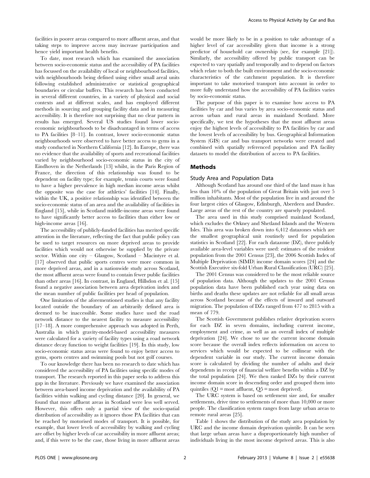facilities in poorer areas compared to more affluent areas, and that taking steps to improve access may increase participation and hence yield important health benefits.

To date, most research which has examined the association between socio-economic status and the accessibility of PA facilities has focussed on the availability of local or neighbourhood facilities, with neighbourhoods being defined using either small areal units following established administrative or statistical geographical boundaries or circular buffers. This research has been conducted in several different countries, in a variety of physical and social contexts and at different scales, and has employed different methods in sourcing and grouping facility data and in measuring accessibility. It is therefore not surprising that no clear pattern in results has emerged. Several US studies found lower socioeconomic neighbourhoods to be disadvantaged in terms of access to PA facilities [8–11]. In contrast, lower socio-economic status neighbourhoods were observed to have better access to gyms in a study conducted in Northern California [12]. In Europe, there was no evidence that the availability of sports and recreational facilities varied by neighbourhood socio-economic status in the city of Eindhoven in the Netherlands [13] whilst, in the Paris Region of France, the direction of this relationship was found to be dependent on facility type; for example, tennis courts were found to have a higher prevalence in high median income areas whilst the opposite was the case for athletics' facilities [14]. Finally, within the UK, a positive relationship was identified between the socio-economic status of an area and the availability of facilities in England [15], while in Scotland middle-income areas were found to have significantly better access to facilities than either low or high-income areas [16].

The accessibility of publicly-funded facilities has merited specific attention in the literature, reflecting the fact that public policy can be used to target resources on more deprived areas to provide facilities which would not otherwise be supplied by the private sector. Within one city – Glasgow, Scotland – Macintyre et al. [17] observed that public sports centres were more common in more deprived areas, and in a nationwide study across Scotland, the most affluent areas were found to contain fewer public facilities than other areas [16]. In contrast, in England, Hillsdon et al. [15] found a negative association between area deprivation index and the mean number of public facilities per head of population.

One limitation of the aforementioned studies is that any facility located outside the boundary of an arbitrarily defined area is deemed to be inaccessible. Some studies have used the road network distance to the nearest facility to measure accessibility [17–18]. A more comprehensive approach was adopted in Perth, Australia in which gravity-model-based accessibility measures were calculated for a variety of facility types using a road network distance decay function to weight facilities [19]. In this study, low socio-economic status areas were found to enjoy better access to gyms, sports centres and swimming pools but not golf courses.

To our knowledge there has been no research to date which has considered the accessibility of PA facilities using specific modes of transport. The research reported in this paper seeks to address this gap in the literature. Previously we have examined the association between area-based income deprivation and the availability of PA facilities within walking and cycling distance [20]. In general, we found that more affluent areas in Scotland were less well served. However, this offers only a partial view of the socio-spatial distribution of accessibility as it ignores those PA facilities that can be reached by motorised modes of transport. It is possible, for example, that lower levels of accessibility by walking and cycling are offset by higher levels of car accessibility in more affluent areas; and, if this were to be the case, those living in more affluent areas would be more likely to be in a position to take advantage of a higher level of car accessibility given that income is a strong predictor of household car ownership (see, for example [21]). Similarly, the accessibility offered by public transport can be expected to vary spatially and temporally and to depend on factors which relate to both the built environment and the socio-economic characteristics of the catchment population. It is therefore important to take motorised transport into account in order to more fully understand how the accessibility of PA facilities varies by socio-economic status.

The purpose of this paper is to examine how access to PA facilities by car and bus varies by area socio-economic status and across urban and rural areas in mainland Scotland. More specifically, we test the hypotheses that the most affluent areas enjoy the highest levels of accessibility to PA facilities by car and the lowest levels of accessibility by bus. Geographical Information System (GIS) car and bus transport networks were created and combined with spatially referenced population and PA facility datasets to model the distribution of access to PA facilities.

#### Methods

#### Study Area and Population Data

Although Scotland has around one third of the land mass it has less than 10% of the population of Great Britain with just over 5 million inhabitants. Most of the population live in and around the four largest cities of Glasgow, Edinburgh, Aberdeen and Dundee. Large areas of the rest of the country are sparsely populated.

The area used in this study comprised mainland Scotland, which excludes the Orkney and Shetland Islands and the Western Isles. This area was broken down into 6,412 datazones which are the smallest geographical unit routinely used for population statistics in Scotland [22]. For each datazone (DZ), three publicly available area-level variables were used: estimates of the resident population from the 2001 Census [23], the 2006 Scottish Index of Multiple Deprivation (SIMD) income domain scores [24] and the Scottish Executive six-fold Urban Rural Classification (URC) [25].

The 2001 Census was considered to be the most reliable source of population data. Although the updates to the 2001 Census population data have been published each year using data on births and deaths these updates are not reliable for all small areas across Scotland because of the effects of inward and outward migration. The population of DZs ranged from 477 to 2815 with a mean of 779.

The Scottish Government publishes relative deprivation scores for each DZ in seven domains, including current income, employment and crime, as well as an overall index of multiple deprivation [24]. We chose to use the current income domain score because the overall index reflects information on access to services which would be expected to be collinear with the dependent variable in our study. The current income domain score is calculated by dividing the number of adults and their dependents in receipt of financial welfare benefits within a DZ by the total population [24]. We then ranked DZs by their current income domain score in descending order and grouped them into quintiles  $(Q1 = \text{most afluent}, Q5 = \text{most deprived}).$ 

The URC system is based on settlement size and, for smaller settlements, drive time to settlements of more than 10,000 or more people. The classification system ranges from large urban areas to remote rural areas [25].

Table 1 shows the distribution of the study area population by URC and the income domain deprivation quintile. It can be seen that large urban areas have a disproportionately high number of individuals living in the most income deprived areas. This is also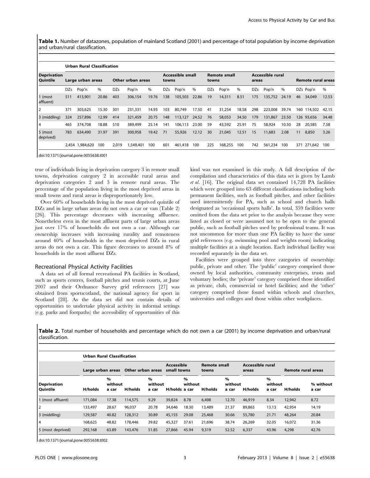Table 1. Number of datazones, population of mainland Scotland (2001) and percentage of total population by income deprivation and urban/rural classification.

|                                |            | <b>Urban Rural Classification</b> |       |            |                   |       |            |                                  |       |                       |         |                                  |            |         |                    |     |             |       |
|--------------------------------|------------|-----------------------------------|-------|------------|-------------------|-------|------------|----------------------------------|-------|-----------------------|---------|----------------------------------|------------|---------|--------------------|-----|-------------|-------|
| <b>Deprivation</b><br>Quintile |            | Large urban areas                 |       |            | Other urban areas |       |            | <b>Accessible small</b><br>towns |       | Remote small<br>towns |         | <b>Accessible rural</b><br>areas |            |         | Remote rural areas |     |             |       |
|                                | <b>DZs</b> | Pop'n                             | %     | <b>DZs</b> | Pop'n             | $\%$  | <b>DZs</b> | Pop'n                            | %     | <b>DZs</b>            | Pop'n   | %                                | <b>DZs</b> | Pop'n   | %                  |     | DZs Pop'n   | %     |
| (most<br>affluent)             | 511        | 413,901                           | 20.86 | 403        | 306.154           | 19.76 | 138        | 105,503                          | 22.86 | 19                    | 14,311  | 8.51                             | 175        | 135,752 | 24.19              | 46  | 34,049      | 12.53 |
| $\overline{2}$                 | 371        | 303,625                           | 15.30 | 301        | 231,331           | 14.93 | 103        | 80.749                           | 17.50 | 41                    | 31,254  | 18.58                            | 298        | 223,008 | 39.74              |     | 160 114,502 | 42.15 |
| 3 (middling)                   | 324        | 257.896                           | 12.99 | 414        | 321,459           | 20.75 | 148        | 113,127                          | 24.52 | 76                    | 58,053  | 34.50                            | 179        | 131,867 | 23.50              |     | 126 93,656  | 34.48 |
| 4                              | 465        | 374,708                           | 18.88 | 510        | 389,499           | 25.14 | 141        | 106,113                          | 23.00 | 59                    | 43,592  | 25.91                            | 75         | 58,924  | 10.50              | 28  | 20,585      | 7.58  |
| 5 (most<br>deprived)           | 783        | 634,490                           | 31.97 | 391        | 300,958           | 19.42 | 71         | 55,926                           | 12.12 | 30                    | 21,045  | 12.51                            | 15         | 11,683  | 2.08               | 11  | 8,850       | 3.26  |
|                                |            | 2,454 1,984,620                   | 100   | 2,019      | 1,549,401         | 100   | 601        | 461,418                          | 100   | 225                   | 168,255 | 100                              | 742        | 561,234 | 100                | 371 | 271.642     | 100   |

true of individuals living in deprivation category 3 in remote small towns, deprivation category 2 in accessible rural areas and deprivation categories 2 and 3 in remote rural areas. The percentage of the population living in the most deprived areas in small towns and rural areas is disproportionately low.

Over 60% of households living in the most deprived quintile of DZs and in large urban areas do not own a car or van (Table 2) [26]. This percentage decreases with increasing affluence. Nonetheless even in the most affluent parts of large urban areas just over 17% of households do not own a car. Although car ownership increases with increasing rurality and remoteness around 40% of households in the most deprived DZs in rural areas do not own a car. This figure decreases to around 8% of households in the most affluent DZs.

#### Recreational Physical Activity Facilities

A data set of all formal recreational PA facilities in Scotland, such as sports centres, football pitches and tennis courts, at June 2007 and their Ordnance Survey grid references [27] was obtained from sportscotland, the national agency for sport in Scotland [28]. As the data set did not contain details of opportunities to undertake physical activity in informal settings (e.g. parks and footpaths) the accessibility of opportunities of this

kind was not examined in this study. A full description of the compilation and characteristics of this data set is given by Lamb et al. [16]. The original data set contained 14,728 PA facilities which were grouped into 63 different classifications including both permanent facilities, such as football pitches, and other facilities used intermittently for PA, such as school and church halls designated as 'occasional sports halls'. In total, 359 facilities were omitted from the data set prior to the analysis because they were listed as closed or were assumed not to be open to the general public, such as football pitches used by professional teams. It was not uncommon for more than one PA facility to have the same grid references (e.g. swimming pool and weights room) indicating multiple facilities at a single location. Each individual facility was recorded separately in the data set.

Facilities were grouped into three categories of ownership: public, private and other. The 'public' category comprised those owned by local authorities, community enterprises, trusts and voluntary bodies; the 'private' category comprised those identified as private, club, commercial or hotel facilities; and the 'other' category comprised those found within schools and churches, universities and colleges and those within other workplaces.

Table 2. Total number of households and percentage which do not own a car (2001) by income deprivation and urban/rural classification.

|                                  |                   | <b>Urban Rural Classification</b> |                   |                          |                                  |                 |                              |                          |                           |                       |                    |                    |
|----------------------------------|-------------------|-----------------------------------|-------------------|--------------------------|----------------------------------|-----------------|------------------------------|--------------------------|---------------------------|-----------------------|--------------------|--------------------|
|                                  | Large urban areas |                                   | Other urban areas |                          | <b>Accessible</b><br>small towns |                 | <b>Remote small</b><br>towns |                          | Accessible rural<br>areas |                       | Remote rural areas |                    |
| <b>Deprivation</b><br>  Quintile | H/holds           | $\%$<br>without<br>a car          | H/holds           | $\%$<br>without<br>a car | H/holds a car                    | $\%$<br>without | H/holds                      | $\%$<br>without<br>a car | H/holds                   | %<br>without<br>a car | <b>H/holds</b>     | % without<br>a car |
| (most affluent)                  | 171,084           | 17.38                             | 114,575           | 9.29                     | 39,824                           | 8.78            | 6,498                        | 12.70                    | 46,919                    | 8.34                  | 12,942             | 8.72               |
| 2                                | 133.497           | 28.67                             | 96,037            | 20.78                    | 34,646                           | 18.30           | 13,489                       | 21.37                    | 89,863                    | 13.13                 | 42,954             | 14.19              |
| 3 (middling)                     | 129,587           | 40.82                             | 128,312           | 30.89                    | 45,155                           | 29.08           | 25,468                       | 30.66                    | 55,780                    | 21.71                 | 48,264             | 20.84              |
| 14                               | 168,625           | 48.82                             | 178.446           | 39.82                    | 45,327                           | 37.61           | 21,696                       | 38.74                    | 26,269                    | 32.05                 | 16,072             | 31.36              |
| 5 (most deprived)                | 292,168           | 63.89                             | 143,476           | 51.85                    | 27,866                           | 45.94           | 9,319                        | 52.52                    | 6,337                     | 43.96                 | 4,298              | 42.76              |

doi:10.1371/journal.pone.0055638.t002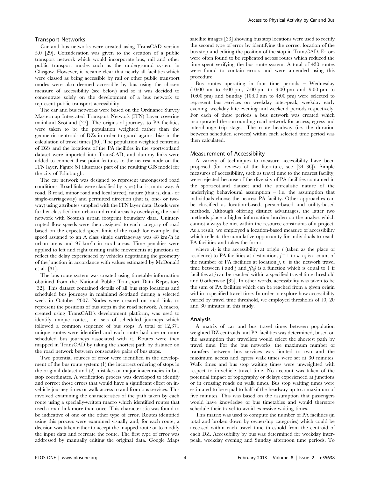#### Transport Networks

Car and bus networks were created using TransCAD version 5.0 [29]. Consideration was given to the creation of a public transport network which would incorporate bus, rail and other public transport modes such as the underground system in Glasgow. However, it became clear that nearly all facilities which were classed as being accessible by rail or other public transport modes were also deemed accessible by bus using the chosen measure of accessibility (see below) and so it was decided to concentrate solely on the development of a bus network to represent public transport accessibility.

The car and bus networks were based on the Ordnance Survey Mastermap Integrated Transport Network (ITN) Layer covering mainland Scotland [27]. The origins of journeys to PA facilities were taken to be the population weighted rather than the geometric centroids of DZs in order to guard against bias in the calculation of travel times [30]. The population weighted centroids of DZs and the locations of the PA facilities in the sportscotland dataset were imported into TransCAD, and dummy links were added to connect these point features to the nearest node on the ITN layer. Figure S1 illustrates part of the resulting GIS model for the city of Edinburgh.

The car network was designed to represent uncongested road conditions. Road links were classified by type (that is, motorway, A road, B road, minor road and local street), nature (that is, dual- or single-carriageway) and permitted direction (that is, one- or twoway) using attributes supplied with the ITN layer data. Roads were further classified into urban and rural areas by overlaying the road network with Scottish urban footprint boundary data. Uninterrupted flow speeds were then assigned to each category of road based on the expected speed limit of the road; for example, the speed assigned to an A class single carriageway was 48 km/h in urban areas and 97 km/h in rural areas. Time penalties were applied to left and right turning traffic movements at junctions to reflect the delay experienced by vehicles negotiating the geometry of the junction in accordance with values estimated by McDonald et al. [31].

The bus route system was created using timetable information obtained from the National Public Transport Data Repository [32]. This dataset contained details of all bus stop locations and scheduled bus journeys in mainland Scotland during a selected week in October 2007. Nodes were created on road links to represent the positions of bus stops in the road network. A macro, created using TransCAD's development platform, was used to identify unique routes, i.e. sets of scheduled journeys which followed a common sequence of bus stops. A total of 12,371 unique routes were identified and each route had one or more scheduled bus journeys associated with it. Routes were then mapped in TransCAD by taking the shortest path by distance on the road network between consecutive pairs of bus stops.

Two potential sources of error were identified in the development of the bus route system: (1) the incorrect ordering of stops in the original dataset and (2) mistakes or major inaccuracies in bus stop coordinates. A verification process was developed to identify and correct those errors that would have a significant effect on invehicle journey times or walk access to and from bus services. This involved examining the characteristics of the path taken by each route using a specially-written macro which identified routes that used a road link more than once. This characteristic was found to be indicative of one or the other type of error. Routes identified using this process were examined visually and, for each route, a decision was taken either to accept the mapped route or to modify the input data and recreate the route. The first type of error was addressed by manually editing the original data. Google Maps satellite images [33] showing bus stop locations were used to rectify the second type of error by identifying the correct location of the bus stop and editing the position of the stop in TransCAD. Errors were often found to be replicated across routes which reduced the time spent verifying the bus route system. A total of 430 routes were found to contain errors and were amended using this procedure.

Bus routes operating in four time periods – Wednesday (10:00 am to 4:00 pm, 7:00 pm to 9:00 pm and 9:00 pm to 10:00 pm) and Sunday (10:00 am to 4:00 pm) were selected to represent bus services on weekday inter-peak, weekday early evening, weekday late evening and weekend periods respectively. For each of these periods a bus network was created which incorporated the surrounding road network for access, egress and interchange trip stages. The route headway (i.e. the duration between scheduled services) within each selected time period was then calculated.

### Measurement of Accessibility

A variety of techniques to measure accessibility have been proposed (for reviews of the literature, see [34–36]). Simple measures of accessibility, such as travel time to the nearest facility, were rejected because of the diversity of PA facilities contained in the sportscotland dataset and the unrealistic nature of the underlying behavioural assumption  $-$  i.e. the assumption that individuals choose the nearest PA facility. Other approaches can be classified as location-based, person-based and utility-based methods. Although offering distinct advantages, the latter two methods place a higher information burden on the analyst which cannot always be met within the resource constraints of a project. As a result, we employed a location-based measure of accessibility which reflects the cumulative opportunity for individuals to reach PA facilities and takes the form:

where  $A_i$  is the accessibility at origin i (taken as the place of residence) to PA facilities at destinations  $j = 1$  to n,  $a_i$  is a count of the number of PA facilities at location  $j$ ,  $t_{ii}$  is the network travel time between i and j and  $f(t_{ii})$  is a function which is equal to 1 if facilities at  $j$  can be reached within a specified travel time threshold and 0 otherwise [35]. In other words, accessibility was taken to be the sum of PA facilities which can be reached from a given origin within a specified travel time. In order to explore how accessibility varied by travel time threshold, we employed thresholds of 10, 20 and 30 minutes in this study.

#### Analysis

A matrix of car and bus travel times between population weighted DZ centroids and PA facilities was determined, based on the assumption that travellers would select the shortest path by travel time. For the bus networks, the maximum number of transfers between bus services was limited to two and the maximum access and egress walk times were set at 30 minutes. Walk times and bus stop waiting times were unweighted with respect to in-vehicle travel time. No account was taken of the potential impact of topography or delays experienced at junctions or in crossing roads on walk times. Bus stop waiting times were estimated to be equal to half of the headway up to a maximum of five minutes. This was based on the assumption that passengers would have knowledge of bus timetables and would therefore schedule their travel to avoid excessive waiting times.

This matrix was used to compute the number of PA facilities (in total and broken down by ownership categories) which could be accessed within each travel time threshold from the centroid of each DZ. Accessibility by bus was determined for weekday interpeak, weekday evening and Sunday afternoon time periods. To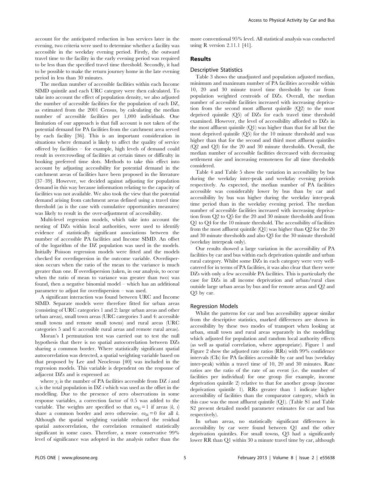account for the anticipated reduction in bus services later in the evening, two criteria were used to determine whether a facility was accessible in the weekday evening period. Firstly, the outward travel time to the facility in the early evening period was required to be less than the specified travel time threshold. Secondly, it had to be possible to make the return journey home in the late evening period in less than 30 minutes.

The median number of accessible facilities within each Income SIMD quintile and each URC category were then calculated. To take into account the effect of population density, we also adjusted the number of accessible facilities for the population of each DZ, as estimated from the 2001 Census, by calculating the median number of accessible facilities per 1,000 individuals. One limitation of our approach is that full account is not taken of the potential demand for PA facilities from the catchment area served by each facility [36]. This is an important consideration in situations where demand is likely to affect the quality of service offered by facilities – for example, high levels of demand could result in overcrowding of facilities at certain times or difficulty in booking preferred time slots. Methods to take this effect into account by adjusting accessibility for potential demand in the catchment areas of facilities have been proposed in the literature [37–39]. However, we decided against adjusting for population demand in this way because information relating to the capacity of facilities was not available. We also took the view that the potential demand arising from catchment areas defined using a travel time threshold (as is the case with cumulative opportunities measures) was likely to result in the over-adjustment of accessibility.

Multi-level regression models, which take into account the nesting of DZs within local authorities, were used to identify evidence of statistically significant associations between the number of accessible PA facilities and Income SIMD. An offset of the logarithm of the DZ population was used in the models. Initially Poisson regression models were fitted and the models checked for overdispersion in the outcome variable. Overdispersion occurs when the ratio of the mean to the variance is much greater than one. If overdispersion (taken, in our analysis, to occur when the ratio of mean to variance was greater than two) was found, then a negative binomial model – which has an additional parameter to adjust for overdispersion – was used.

A significant interaction was found between URC and Income SIMD. Separate models were therefore fitted for urban areas (consisting of URC categories 1 and 2: large urban areas and other urban areas), small town areas (URC categories 3 and 4: accessible small towns and remote small towns) and rural areas (URC categories 5 and 6: accessible rural areas and remote rural areas).

Moran's I permutation test was carried out to test the null hypothesis that there is no spatial autocorrelation between DZs sharing a common border. Where statistically significant spatial autocorrelation was detected, a spatial weighting variable based on that proposed by Lee and Neocleous [40] was included in the regression models. This variable is dependent on the response of adjacent DZs and is expressed as:

where  $y_i$  is the number of PA facilities accessible from DZ  $i$  and  $x_i$  is the total population in DZ i which was used as the offset in the modelling. Due to the presence of zero observations in some response variables, a correction factor of 0.5 was added to the variable. The weights are specified so that  $\omega_{ki}=1$  if areas  $(k, i)$ share a common border and zero otherwise.  $\omega_{kk} = 0$  for all k. Although the spatial weighting variable reduced the residual spatial autocorrelation, the correlation remained statistically significant in some cases. Therefore, a more conservative 99% level of significance was adopted in the analysis rather than the more conventional 95% level. All statistical analysis was conducted using R version 2.11.1 [41].

## Results

## Descriptive Statistics

Table 3 shows the unadjusted and population adjusted median, minimum and maximum number of PA facilities accessible within 10, 20 and 30 minute travel time thresholds by car from population weighted centroids of DZs. Overall, the median number of accessible facilities increased with increasing deprivation from the second most affluent quintile (Q2) to the most deprived quintile (Q5) of DZs for each travel time threshold examined. However, the level of accessibility afforded to DZs in the most affluent quintile  $(Q1)$  was higher than that for all but the most deprived quintile (Q5) for the 10 minute threshold and was higher than that for the second and third most affluent quintiles (Q2 and Q3) for the 20 and 30 minute thresholds. Overall, the median number of accessible facilities decreased with decreasing settlement size and increasing remoteness for all time thresholds considered.

Table 4 and Table 5 show the variation in accessibility by bus during the weekday inter-peak and weekday evening periods respectively. As expected, the median number of PA facilities accessible was considerably lower by bus than by car and accessibility by bus was higher during the weekday inter-peak time period than in the weekday evening period. The median number of accessible facilities increased with increasing deprivation from Q2 to Q5 for the 20 and 30 minute thresholds and from Q1 to Q4 for the 10 minute threshold. The accessibility of facilities from the most affluent quintile (Q1) was higher than Q2 for the 20 and 30 minute thresholds and also Q3 for the 30 minute threshold (weekday interpeak only).

Our results showed a large variation in the accessibility of PA facilities by car and bus within each deprivation quintile and urban rural category. Whilst some DZs in each category were very wellcatered for in terms of PA facilities, it was also clear that there were DZs with only a few accessible PA facilities. This is particularly the case for DZs in all income deprivation and urban/rural class outside large urban areas by bus and for remote areas and Q2 and Q3 by car.

#### Regression Models

Whilst the patterns for car and bus accessibility appear similar from the descriptive statistics, marked differences are shown in accessibility by these two modes of transport when looking at urban, small town and rural areas separately in the modelling which adjusted for population and random local authority effects (as well as spatial correlation, where appropriate). Figure 1 and Figure 2 show the adjusted rate ratios (RRs) with 99% confidence intervals (CIs) for PA facilities accessible by car and bus (weekday inter-peak) within a travel time of 10, 20 and 30 minutes. Rate ratios are the ratio of the rate of an event (i.e. the number of facilities per individual) for one group (for example, income deprivation quintile 2) relative to that for another group (income deprivation quintile 1). RRs greater than 1 indicate higher accessibility of facilities than the comparator category, which in this case was the most affluent quintile (Q1). (Table S1 and Table S2 present detailed model parameter estimates for car and bus respectively).

In urban areas, no statistically significant differences in accessibility by car were found between Q1 and the other deprivation quintiles. For small towns, Q3 had a significantly lower RR than Q1 within 30 a minute travel time by car, although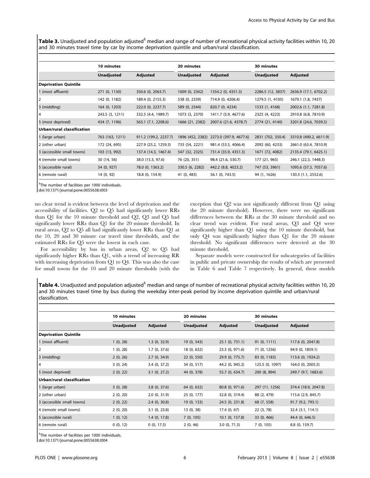Table 3. Unadjusted and population adjusted<sup>§</sup> median and range of number of recreational physical activity facilities within 10, 20 and 30 minutes travel time by car by income deprivation quintile and urban/rural classification.

|                            | 10 minutes        |                       | 20 minutes        |                        | 30 minutes        |                        |  |
|----------------------------|-------------------|-----------------------|-------------------|------------------------|-------------------|------------------------|--|
|                            | <b>Unadjusted</b> | <b>Adjusted</b>       | <b>Unadjusted</b> | <b>Adjusted</b>        | <b>Unadjusted</b> | <b>Adjusted</b>        |  |
| Deprivation Quintile       |                   |                       |                   |                        |                   |                        |  |
| 1 (most affluent)          | 271 (0, 1130)     | 350.6 (0, 2063.7)     | 1009 (0, 2342)    | 1354.2 (0, 4351.3)     | 2286.5 (12, 3837) | 2636.9 (17.1, 6702.2)  |  |
| 2                          | 142 (0, 1182)     | 189.4 (0, 2155.3)     | 538 (0, 2339)     | 714.9 (0, 4206.4)      | 1279.5 (1, 4105)  | 1679.1 (1.8, 7437)     |  |
| 3 (middling)               | 164 (0, 1203)     | 222.0 (0, 2237.7)     | 589 (0, 2344)     | 820.7 (0, 4234)        | 1533 (1, 4168)    | 2002.6 (1.1, 7281.8)   |  |
| 4                          | 243.5 (3, 1211)   | 332.5 (4.4, 1989.7)   | 1073 (3, 2370)    | 1411.7 (5.9, 4677.6)   | 2325 (4, 4223)    | 2910.8 (6.8, 7810.9)   |  |
| 5 (most deprived)          | 434 (7, 1196)     | 563.1 (7.1, 2208.6)   | 1666 (21, 2382)   | 2007.6 (21.6, 4378.7)  | 2774 (21, 4140)   | 3201.8 (24.6, 7039.5)  |  |
| Urban/rural classification |                   |                       |                   |                        |                   |                        |  |
| 1 (large urban)            | 763 (163, 1211)   | 911.2 (199.2, 2237.7) | 1896 (452, 2382)  | 2273.0 (397.9, 4677.6) | 2831 (702, 350.4) | 3310.8 (490.2, 6611.9) |  |
| 2 (other urban)            | 172 (24, 695)     | 227.9 (25.2, 1259.3)  | 733 (54, 2221)    | 981.4 (53.5, 4066.4)   | 2092 (60, 4233)   | 2661.0 (63.4, 7810.9)  |  |
| 3 (accessible small towns) | 103 (13, 992)     | 137.4 (14.3, 1467.4)  | 547 (32, 2325)    | 731.4 (35.9, 4351.3)   | 1671 (72, 4082)   | 2135.4 (79.1, 6425.1)  |  |
| 4 (remote small towns)     | 30 (14, 56)       | 38.0 (15.3, 97.6)     | 76 (20, 351)      | 98.4 (21.6, 530.7)     | 177 (21, 965)     | 246.1 (22.3, 1448.3)   |  |
| 5 (accessible rural)       | 54 (0, 927)       | 78.0 (0, 1363.2)      | 330.5 (6, 2282)   | 442.2 (8.8, 4023.2)    | 747 (53, 3961)    | 1095.6 (57.3, 7057.6)  |  |
| 6 (remote rural)           | 14 (0, 92)        | 18.8 (0, 154.9)       | 41 (0, 483)       | 56.1 (0, 743.5)        | 94 (1, 1626)      | 130.3 (1.1, 2552.6)    |  |

<sup>§</sup>The number of facilities per 1000 individuals.

doi:10.1371/journal.pone.0055638.t003

no clear trend is evident between the level of deprivation and the accessibility of facilities. Q2 to Q5 had significantly lower RRs than Q1 for the 10 minute threshold and Q2, Q3 and Q5 had significantly lower RRs than Q1 for the 20 minute threshold. In rural areas, Q2 to Q5 all had significantly lower RRs than Q1 at the 10, 20 and 30 minute car travel time thresholds, and the estimated RRs for Q5 were the lowest in each case.

For accessibility by bus in urban areas, Q2 to Q5 had significantly higher RRs than Q1, with a trend of increasing RR with increasing deprivation from Q1 to Q4. This was also the case for small towns for the 10 and 20 minute thresholds (with the exception that Q2 was not significantly different from Q1 using the 20 minute threshold). However, there were no significant differences between the RRs at the 30 minute threshold and no clear trend was evident. For rural areas, Q3 and Q4 were significantly higher than Q1 using the 10 minute threshold, but only Q4 was significantly higher than Q1 for the 20 minute threshold. No significant differences were detected at the 30 minute threshold.

Separate models were constructed for subcategories of facilities in public and private ownership the results of which are presented in Table 6 and Table 7 respectively. In general, these models

Table 4. Unadjusted and population adjusted<sup>§</sup> median and range of number of recreational physical activity facilities within 10, 20 and 30 minutes travel time by bus during the weekday inter-peak period by income deprivation quintile and urban/rural classification.

|                                   | 10 minutes        |                 | 20 minutes        |                   | 30 minutes        |                      |  |  |
|-----------------------------------|-------------------|-----------------|-------------------|-------------------|-------------------|----------------------|--|--|
|                                   | <b>Unadjusted</b> | <b>Adjusted</b> | <b>Unadjusted</b> | <b>Adjusted</b>   | <b>Unadjusted</b> | <b>Adjusted</b>      |  |  |
| <b>Deprivation Quintile</b>       |                   |                 |                   |                   |                   |                      |  |  |
| 1 (most affluent)                 | 1(0, 28)          | 1.3(0, 32.9)    | 19 (0, 543)       | 25.1(0, 731.1)    | 91(0, 1111)       | 117.6 (0, 2047.8)    |  |  |
| $\overline{2}$                    | 1(0, 28)          | 1.7(0, 37.6)    | 18 (0, 632)       | 23.3 (0, 971.6)   | 71 (0, 1256)      | 94.9 (0, 1859.1)     |  |  |
| 3 (middling)                      | 2(0, 26)          | 2.7(0, 34.9)    | 22(0, 550)        | 29.9 (0, 775.7)   | 83 (0, 1183)      | 113.6 (0, 1924.2)    |  |  |
| l 4                               | 3(0, 24)          | 3.4(0, 37.2)    | 34 (0, 517)       | 44.2 (0, 945.2)   | 125.5 (0, 1097)   | 164.0 (0, 2005.5)    |  |  |
| 5 (most deprived)                 | 2(0, 22)          | 3.1(0, 27.2)    | 44 (0, 378)       | 55.7 (0, 634.7)   | 200 (8, 894)      | 249.7 (9.7, 1683.6)  |  |  |
| <b>Urban/rural classification</b> |                   |                 |                   |                   |                   |                      |  |  |
| 1 (large urban)                   | 3(0, 28)          | 3.8(0, 37.6)    | 64 (0, 632)       | 80.8 (0, 971.6)   | 297 (11, 1256)    | 374.4 (18.9, 2047.8) |  |  |
| 2 (other urban)                   | 2(0, 20)          | 2.0(0, 31.9)    | 25 (0, 177)       | 32.8 (0, 319.4)   | 88 (2, 479)       | 115.6 (2.9, 845.7)   |  |  |
| 3 (accessible small towns)        | 2(0, 22)          | 2.4(0, 30.8)    | 19 (0, 133)       | 24.5 (0, 231.8)   | 68 (7, 558)       | 91.7 (9.2, 793.1)    |  |  |
| 4 (remote small towns)            | 2(0, 20)          | 3.1(0, 23.8)    | 13 (0, 38)        | 17.4 (0, 67)      | 22 (3, 78)        | 32.4 (3.1, 114.1)    |  |  |
| 5 (accessible rural)              | 1(0, 12)          | 1.4(0, 17.8)    | 7(0, 105)         | $10.1$ (0, 157.8) | 33 (0, 466)       | 44.4 (0, 646.5)      |  |  |
| 6 (remote rural)                  | 0(0, 12)          | 0(0, 17.5)      | 2(0, 46)          | 3.0(0, 71.3)      | 7(0, 105)         | 8.8 (0, 159.7)       |  |  |

<sup>§</sup>The number of facilities per 1000 individuals.

doi:10.1371/journal.pone.0055638.t004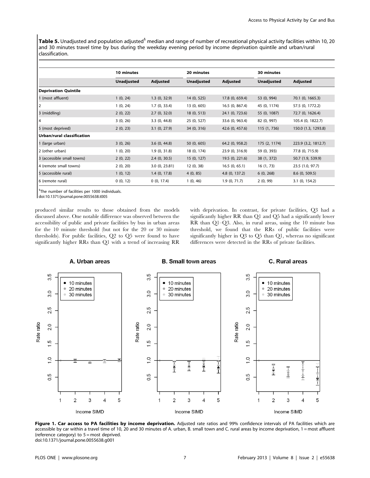Table 5. Unadjusted and population adjusted<sup>§</sup> median and range of number of recreational physical activity facilities within 10, 20 and 30 minutes travel time by bus during the weekday evening period by income deprivation quintile and urban/rural classification.

|                             | 10 minutes        |                 | 20 minutes        |                 | 30 minutes        |                     |  |
|-----------------------------|-------------------|-----------------|-------------------|-----------------|-------------------|---------------------|--|
|                             | <b>Unadjusted</b> | <b>Adjusted</b> | <b>Unadjusted</b> | <b>Adjusted</b> | <b>Unadjusted</b> | <b>Adjusted</b>     |  |
| <b>Deprivation Quintile</b> |                   |                 |                   |                 |                   |                     |  |
| 1 (most affluent)           | 1(0, 24)          | 1.3(0, 32.9)    | 14 (0, 525)       | 17.8 (0, 659.4) | 53 (0, 994)       | 70.1 (0, 1665.3)    |  |
| 2                           | 1(0, 24)          | 1.7(0, 33.4)    | 13 (0, 605)       | 16.5 (0, 867.4) | 45 (0, 1174)      | 57.5 (0, 1772.2)    |  |
| 3 (middling)                | 2(0, 22)          | 2.7(0, 32.0)    | 18 (0, 513)       | 24.1 (0, 723.6) | 55 (0, 1087)      | 72.7 (0, 1626.4)    |  |
| 4                           | 3(0, 26)          | 3.3(0, 44.8)    | 25 (0, 527)       | 33.6 (0, 963.4) | 82 (0, 997)       | 105.4 (0, 1822.7)   |  |
| 5 (most deprived)           | 2(0, 23)          | 3.1(0, 27.9)    | 34 (0, 316)       | 42.6 (0, 457.6) | 115 (1, 736)      | 150.0 (1.3, 1293.8) |  |
| Urban/rural classification  |                   |                 |                   |                 |                   |                     |  |
| 1 (large urban)             | 3(0, 26)          | 3.6(0, 44.8)    | 50 (0, 605)       | 64.2 (0, 958.2) | 175 (2, 1174)     | 223.9 (3.2, 1812.7) |  |
| 2 (other urban)             | 1(0, 20)          | 1.9(0, 31.8)    | 18 (0, 174)       | 23.9 (0, 316.9) | 59 (0, 393)       | 77.8 (0, 715.9)     |  |
| 3 (accessible small towns)  | 2(0, 22)          | 2.4(0, 30.5)    | 15 (0, 127)       | 19.5 (0, 221.6) | 38 (1, 372)       | 50.7 (1.9, 539.9)   |  |
| 4 (remote small towns)      | 2(0, 20)          | 3.0(0, 23.81)   | 12 (0, 38)        | 16.5(0, 65.1)   | 16(1, 73)         | 23.5 (1.0, 97.7)    |  |
| 5 (accessible rural)        | 1(0, 12)          | 1.4(0, 17.8)    | 4(0, 85)          | 4.8 (0, 137.2)  | 6(0, 268)         | 8.6(0, 509.5)       |  |
| 6 (remote rural)            | 0(0, 12)          | 0(0, 17.4)      | 1(0, 46)          | 1.9(0, 71.7)    | 2(0, 99)          | $3.1$ (0, 154.2)    |  |

<sup>§</sup>The number of facilities per 1000 individuals.

doi:10.1371/journal.pone.0055638.t005

produced similar results to those obtained from the models discussed above. One notable difference was observed between the accessibility of public and private facilities by bus in urban areas for the 10 minute threshold (but not for the 20 or 30 minute thresholds). For public facilities, Q2 to Q5 were found to have significantly higher RRs than Q1 with a trend of increasing RR with deprivation. In contrast, for private facilities, Q3 had a significantly higher RR than Q1 and Q5 had a significantly lower RR than Q1–Q3. Also, in rural areas, using the 10 minute bus threshold, we found that the RRs of public facilities were significantly higher in Q3 to Q5 than Q1, whereas no significant differences were detected in the RRs of private facilities.



Figure 1. Car access to PA facilities by income deprivation. Adjusted rate ratios and 99% confidence intervals of PA facilities which are accessible by car within a travel time of 10, 20 and 30 minutes of A. urban, B. small town and C. rural areas by income deprivation, 1 = most affluent (reference category) to 5 = most deprived. doi:10.1371/journal.pone.0055638.g001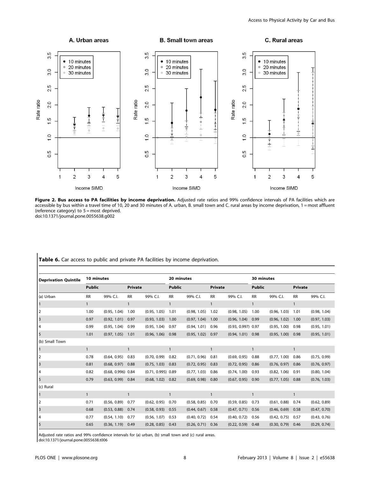

Figure 2. Bus access to PA facilities by income deprivation. Adjusted rate ratios and 99% confidence intervals of PA facilities which are accessible by bus within a travel time of 10, 20 and 30 minutes of A. urban, B. small town and C. rural areas by income deprivation, 1 = most affluent (reference category) to 5 = most deprived. doi:10.1371/journal.pone.0055638.g002

Table 6. Car access to public and private PA facilities by income deprivation.

| <b>Deprivation Quintile</b> | 10 minutes    |                      |                | 20 minutes           |               |              |                | 30 minutes           |               |              |                |              |
|-----------------------------|---------------|----------------------|----------------|----------------------|---------------|--------------|----------------|----------------------|---------------|--------------|----------------|--------------|
|                             | <b>Public</b> |                      | <b>Private</b> |                      | <b>Public</b> |              | <b>Private</b> |                      | <b>Public</b> |              | <b>Private</b> |              |
| (a) Urban                   | <b>RR</b>     | 99% C.I.             | <b>RR</b>      | 99% C.I.             | <b>RR</b>     | 99% C.I.     | <b>RR</b>      | 99% C.I.             | <b>RR</b>     | 99% C.I.     | <b>RR</b>      | 99% C.I.     |
|                             | $\mathbf{1}$  |                      | $\mathbf{1}$   |                      | $\mathbf{1}$  |              | $\mathbf{1}$   |                      | $\mathbf{1}$  |              | $\mathbf{1}$   |              |
| 2                           | 1.00          | (0.95, 1.04)         | 1.00           | (0.95, 1.05)         | 1.01          | (0.98, 1.05) | 1.02           | (0.98, 1.05)         | 1.00          | (0.96, 1.03) | 1.01           | (0.98, 1.04) |
| $\overline{3}$              | 0.97          | (0.92, 1.01)         | 0.97           | (0.93, 1.03)         | 1.00          | (0.97, 1.04) | 1.00           | (0.96, 1.04)         | 0.99          | (0.96, 1.02) | 1.00           | (0.97, 1.03) |
| 4                           | 0.99          | (0.95, 1.04)         | 0.99           | (0.95, 1.04)         | 0.97          | (0.94, 1.01) | 0.96           | $(0.93, 0.997)$ 0.97 |               | (0.95, 1.00) | 0.98           | (0.95, 1.01) |
| 5                           | 1.01          | (0.97, 1.05)         | 1.01           | (0.96, 1.06)         | 0.98          | (0.95, 1.02) | 0.97           | (0.94, 1.01)         | 0.98          | (0.95, 1.00) | 0.98           | (0.95, 1.01) |
| (b) Small Town              |               |                      |                |                      |               |              |                |                      |               |              |                |              |
|                             | $\mathbf{1}$  |                      |                |                      | $\mathbf{1}$  |              | $\mathbf{1}$   |                      | $\mathbf{1}$  |              | $\mathbf{1}$   |              |
| 2                           | 0.78          | (0.64, 0.95)         | 0.83           | (0.70, 0.99)         | 0.82          | (0.71, 0.96) | 0.81           | (0.69, 0.95)         | 0.88          | (0.77, 1.00) | 0.86           | (0.75, 0.99) |
| $\overline{3}$              | 0.81          | (0.68, 0.97)         | 0.88           | (0.75, 1.03)         | 0.83          | (0.72, 0.95) | 0.83           | (0.72, 0.95)         | 0.86          | (0.76, 0.97) | 0.86           | (0.76, 0.97) |
| 4                           | 0.82          | $(0.68, 0.996)$ 0.84 |                | $(0.71, 0.995)$ 0.89 |               | (0.77, 1.03) | 0.86           | (0.74, 1.00)         | 0.93          | (0.82, 1.06) | 0.91           | (0.80, 1.04) |
| 5                           | 0.79          | (0.63, 0.99)         | 0.84           | (0.68, 1.02)         | 0.82          | (0.69, 0.98) | 0.80           | (0.67, 0.95)         | 0.90          | (0.77, 1.05) | 0.88           | (0.76, 1.03) |
| (c) Rural                   |               |                      |                |                      |               |              |                |                      |               |              |                |              |
|                             | $\mathbf{1}$  |                      | $\mathbf{1}$   |                      | $\mathbf{1}$  |              | $\mathbf{1}$   |                      | $\mathbf{1}$  |              | $\mathbf{1}$   |              |
| 2                           | 0.71          | (0.56, 0.89)         | 0.77           | (0.62, 0.95)         | 0.70          | (0.58, 0.85) | 0.70           | (0.59, 0.85)         | 0.73          | (0.61, 0.88) | 0.74           | (0.62, 0.89) |
| $\overline{3}$              | 0.68          | (0.53, 0.88)         | 0.74           | (0.58, 0.93)         | 0.55          | (0.44, 0.67) | 0.58           | (0.47, 0.71)         | 0.56          | (0.46, 0.69) | 0.58           | (0.47, 0.70) |
| 4                           | 0.77          | (0.54, 1.10)         | 0.77           | (0.56, 1.07)         | 0.53          | (0.40, 0.72) | 0.54           | (0.40, 0.72)         | 0.56          | (0.42, 0.75) | 0.57           | (0.43, 0.76) |
| $5\phantom{.0}$             | 0.65          | (0.36, 1.19)         | 0.49           | (0.28, 0.85)         | 0.43          | (0.26, 0.71) | 0.36           | (0.22, 0.59)         | 0.48          | (0.30, 0.79) | 0.46           | (0.29, 0.74) |

Adjusted rate ratios and 99% confidence intervals for (a) urban, (b) small town and (c) rural areas.

doi:10.1371/journal.pone.0055638.t006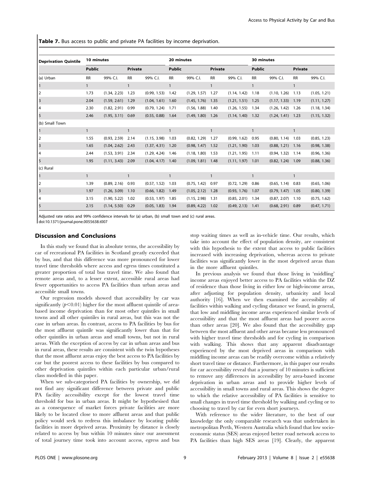Table 7. Bus access to public and private PA facilities by income deprivation.

| <b>Deprivation Quintile</b> | 10 minutes    |              |                |              | 20 minutes    |              |                |              | 30 minutes    |              |                |              |
|-----------------------------|---------------|--------------|----------------|--------------|---------------|--------------|----------------|--------------|---------------|--------------|----------------|--------------|
|                             | <b>Public</b> |              | <b>Private</b> |              | <b>Public</b> |              | <b>Private</b> |              | <b>Public</b> |              | <b>Private</b> |              |
| (a) Urban                   | <b>RR</b>     | 99% C.I.     | <b>RR</b>      | 99% C.I.     | <b>RR</b>     | 99% C.I.     | <b>RR</b>      | 99% C.I.     | <b>RR</b>     | 99% C.I.     | <b>RR</b>      | 99% C.I.     |
|                             | $\mathbf{1}$  |              | $\mathbf{1}$   |              | $\mathbf{1}$  |              | $\mathbf{1}$   |              | $\mathbf{1}$  |              | $\mathbf{1}$   |              |
| 2                           | 1.73          | (1.34, 2.23) | 1.23           | (0.99, 1.53) | 1.42          | (1.29, 1.57) | 1.27           | (1.14, 1.42) | 1.18          | (1.10, 1.26) | 1.13           | (1.05, 1.21) |
| 3                           | 2.04          | (1.59, 2.61) | 1.29           | (1.04, 1.61) | 1.60          | (1.45, 1.76) | 1.35           | (1.21, 1.51) | 1.25          | (1.17, 1.33) | 1.19           | (1.11, 1.27) |
| 4                           | 2.30          | (1.82, 2.91) | 0.99           | (0.79, 1.24) | 1.71          | (1.56, 1.88) | 1.40           | (1.26, 1.55) | 1.34          | (1.26, 1.42) | 1.26           | (1.18, 1.34) |
| 5                           | 2.46          | (1.95, 3.11) | 0.69           | (0.55, 0.88) | 1.64          | (1.49, 1.80) | 1.26           | (1.14, 1.40) | 1.32          | (1.24, 1.41) | 1.23           | (1.15, 1.32) |
| (b) Small Town              |               |              |                |              |               |              |                |              |               |              |                |              |
|                             | $\mathbf{1}$  |              | $\mathbf{1}$   |              | $\mathbf{1}$  |              | $\mathbf{1}$   |              | $\mathbf{1}$  |              | $\mathbf{1}$   |              |
| 2                           | 1.55          | (0.93, 2.59) | 2.14           | (1.15, 3.98) | 1.03          | (0.82, 1.29) | 1.27           | (0.99, 1.62) | 0.95          | (0.80, 1.14) | 1.03           | (0.85, 1.23) |
| 3                           | 1.65          | (1.04, 2.62) | 2.43           | (1.37, 4.31) | 1.20          | (0.98, 1.47) | 1.52           | (1.21, 1.90) | 1.03          | (0.88, 1.21) | 1.16           | (0.98, 1.38) |
| 4                           | 2.44          | (1.53, 3.91) | 2.34           | (1.29, 4.24) | 1.46          | (1.18, 1.80) | 1.53           | (1.21, 1.95) | 1.11          | (0.94, 1.32) | 1.14           | (0.96, 1.36) |
| 5                           | 1.95          | (1.11, 3.43) | 2.09           | (1.04, 4.17) | 1.40          | (1.09, 1.81) | 1.48           | (1.11, 1.97) | 1.01          | (0.82, 1.24) | 1.09           | (0.88, 1.36) |
| (c) Rural                   |               |              |                |              |               |              |                |              |               |              |                |              |
|                             | $\mathbf{1}$  |              | $\mathbf{1}$   |              | $\mathbf{1}$  |              | $\mathbf{1}$   |              | $\mathbf{1}$  |              | $\mathbf{1}$   |              |
| 2                           | 1.39          | (0.89, 2.16) | 0.93           | (0.57, 1.52) | 1.03          | (0.75, 1.42) | 0.97           | (0.72, 1.29) | 0.86          | (0.65, 1.14) | 0.83           | (0.65, 1.06) |
| 3                           | 1.97          | (1.26, 3.09) | 1.10           | (0.66, 1.82) | 1.49          | (1.05, 2.12) | 1.28           | (0.93, 1.76) | 1.07          | (0.79, 1.47) | 1.05           | (0.80, 1.39) |
| 4                           | 3.15          | (1.90, 5.22) | 1.02           | (0.53, 1.97) | 1.85          | (1.15, 2.98) | 1.31           | (0.85, 2.01) | 1.34          | (0.87, 2.07) | 1.10           | (0.75, 1.62) |
| 5                           | 2.15          | (1.14, 5.50) | 0.29           | (0.05, 1.83) | 1.94          | (0.89, 4.22) | 1.02           | (0.49, 2.13) | 1.41          | (0.68, 2.91) | 0.89           | (0.47, 1.71) |

Adjusted rate ratios and 99% confidence intervals for (a) urban, (b) small town and (c) rural areas.

doi:10.1371/journal.pone.0055638.t007

#### Discussion and Conclusions

In this study we found that in absolute terms, the accessibility by car of recreational PA facilities in Scotland greatly exceeded that by bus, and that this difference was more pronounced for lower travel time thresholds where access and egress times constituted a greater proportion of total bus travel time. We also found that remote areas and, to a lesser extent, accessible rural areas had fewer opportunities to access PA facilities than urban areas and accessible small towns.

Our regression models showed that accessibility by car was significantly  $(p<0.01)$  higher for the most affluent quintile of areabased income deprivation than for most other quintiles in small towns and all other quintiles in rural areas, but this was not the case in urban areas. In contrast, access to PA facilities by bus for the most affluent quintile was significantly lower than that for other quintiles in urban areas and small towns, but not in rural areas. With the exception of access by car in urban areas and bus in rural areas, these results are consistent with the twin hypotheses that the most affluent areas enjoy the best access to PA facilities by car but the poorest access to these facilities by bus compared to other deprivation quintiles within each particular urban/rural class modelled in this paper.

When we sub-categorised PA facilities by ownership, we did not find any significant difference between private and public PA facility accessibility except for the lowest travel time threshold for bus in urban areas. It might be hypothesised that as a consequence of market forces private facilities are more likely to be located close to more affluent areas and that public policy would seek to redress this imbalance by locating public facilities in more deprived areas. Proximity by distance is closely related to access by bus within 10 minutes since our assessment of total journey time took into account access, egress and bus stop waiting times as well as in-vehicle time. Our results, which take into account the effect of population density, are consistent with this hypothesis to the extent that access to public facilities increased with increasing deprivation, whereas access to private facilities was significantly lower in the most deprived areas than in the more affluent quintiles.

In previous analysis we found that those living in 'middling' income areas enjoyed better access to PA facilities within the DZ of residence than those living in either low or high-income areas, after adjusting for population density, urbanicity and local authority [16]. When we then examined the accessibility of facilities within walking and cycling distance we found, in general, that low and middling income areas experienced similar levels of accessibility and that the most affluent areas had poorer access than other areas [20]. We also found that the accessibility gap between the most affluent and other areas became less pronounced with higher travel time thresholds and for cycling in comparison with walking. This shows that any apparent disadvantage experienced by the most deprived areas in comparison with middling income areas can be readily overcome within a relatively short travel time or distance. Furthermore, in this paper our results for car accessibility reveal that a journey of 10 minutes is sufficient to remove any differences in accessibility by area-based income deprivation in urban areas and to provide higher levels of accessibility in small towns and rural areas. This shows the degree to which the relative accessibility of PA facilities is sensitive to small changes in travel time threshold by walking and cycling or to choosing to travel by car for even short journeys.

With reference to the wider literature, to the best of our knowledge the only comparable research was that undertaken in metropolitan Perth, Western Australia which found that low socioeconomic status (SES) areas enjoyed better road network access to PA facilities than high SES areas [19]. Clearly, the apparent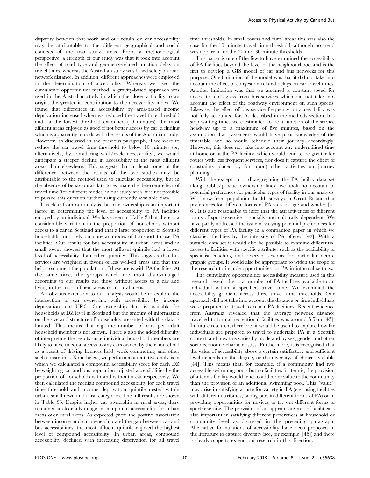disparity between that work and our results on car accessibility may be attributable to the different geographical and social contexts of the two study areas. From a methodological perspective, a strength of our study was that it took into account the effect of road type and geometry-related junction delay on travel times, whereas the Australian study was based solely on road network distance. In addition, different approaches were employed in the determination of accessibility. Whereas we used the cumulative opportunities method, a gravity-based approach was used in the Australian study in which the closer a facility to an origin, the greater its contribution to the accessibility index. We found that differences in accessibility by area-based income deprivation increased when we reduced the travel time threshold and, at the lowest threshold examined (10 minutes), the most affluent areas enjoyed as good if not better access by car, a finding which is apparently at odds with the results of the Australian study. However, as discussed in the previous paragraph, if we were to reduce the car travel time threshold to below 10 minutes (or, alternatively, by considering walk/cycle accessibility), we would anticipate a steeper decline in accessibility in the most affluent areas than elsewhere. This suggests that at least some of the difference between the results of the two studies may be attributable to the method used to calculate accessibility, but in the absence of behavioural data to estimate the deterrent effect of travel time (for different modes) in our study area, it is not possible to pursue this question further using currently available data.

It is clear from our analysis that car ownership is an important factor in determining the level of accessibility to PA facilities enjoyed by an individual. We have seen in Table 2 that there is a considerable variation in the proportion of households without access to a car in Scotland and that a large proportion of Scottish households must rely on non-car modes of transport to use PA facilities. Our results for bus accessibility in urban areas and in small towns showed that the most affluent quintile had a lower level of accessibility than other quintiles. This suggests that bus services are weighted in favour of less well-off areas and that this helps to connect the population of these areas with PA facilities. At the same time, the groups which are most disadvantaged according to our results are those without access to a car and living in the most affluent areas or in rural areas.

An obvious extension to our analysis would be to explore the intersection of car ownership with accessibility by income deprivation and URC. Car ownership data is available for households at DZ level in Scotland but the amount of information on the size and structure of households presented with this data is limited. This means that e.g. the number of cars per adult household member is not known. There is also the added difficulty of interpreting the results since individual household members are likely to have unequal access to any cars owned by their household as a result of driving licences held, work commuting and other such constraints. Nonetheless, we performed a tentative analysis in which we calculated a compound accessibility score for each DZ by weighting car and bus population adjusted accessibilities by the proportion of households with and without a car respectively. We then calculated the median compound accessibility for each travel time threshold and income deprivation quintile nested within urban, small town and rural categories. The full results are shown in Table S3. Despite higher car ownership in rural areas, there remained a clear advantage in compound accessibility for urban areas over rural areas. As expected given the positive association between income and car ownership and the gap between car and bus accessibilities, the most affluent quintile enjoyed the highest level of compound accessibility. In urban areas, compound accessibility declined with increasing deprivation for all travel

time thresholds. In small towns and rural areas this was also the case for the 10 minute travel time threshold, although no trend was apparent for the 20 and 30 minute thresholds.

This paper is one of the few to have examined the accessibility of PA facilities beyond the level of the neighbourhood and is the first to develop a GIS model of car and bus networks for this purpose. One limitation of the model was that it did not take into account the effect of congestion-related delays on car travel times. Another limitation was that we assumed a constant speed for access to and egress from bus services which did not take into account the effect of the roadway environment on such speeds. Likewise, the effect of bus service frequency on accessibility was not fully accounted for. As described in the methods section, bus stop waiting times were estimated to be a function of the service headway up to a maximum of five minutes, based on the assumption that passengers would have prior knowledge of the timetable and so would schedule their journey accordingly. However, this does not take into account any underutilised time at home or at the PA facility, which would tend to be greater for routes with less frequent services, nor does it capture the effect of constraints placed by (or upon) other activities on journey planning.

With the exception of disaggregating the PA facility data set along public/private ownership lines, we took no account of potential preferences for particular types of facility in our analysis. We know from population health surveys in Great Britain that preferences for different forms of PA vary by age and gender [5– 6]. It is also reasonable to infer that the attractiveness of different forms of sport/exercise is socially and culturally dependent. We have partly addressed the issue of varying potential preferences for different types of PA facility in a companion paper in which we classified facilities by the intensity of PA offered [42]. With a suitable data set it would also be possible to examine differential access to facilities with specific attributes such as the availability of specialist coaching and reserved sessions for particular demographic groups. It would also be appropriate to widen the scope of the research to include opportunities for PA in informal settings.

The cumulative opportunities accessibility measure used in this research reveals the total number of PA facilities available to an individual within a specified travel time. We examined the accessibility gradient across three travel time thresholds. Our approach did not take into account the distance or time individuals were prepared to travel to reach PA facilities. Recent evidence from Australia revealed that the average network distance travelled to formal recreational facilities was around 5.5km [43]. In future research, therefore, it would be useful to explore how far individuals are prepared to travel to undertake PA in a Scottish context, and how this varies by mode and by sex, gender and other socio-economic characteristics. Furthermore, it is recognised that the value of accessibility above a certain satisfactory and sufficient level depends on the degree, or the diversity, of choice available [44]. This means that, for example, if a community had two accessible swimming pools but no facilities for tennis, the provision of a tennis facility would tend to add more value to the community than the provision of an additional swimming pool. This ''value'' may arise in satisfying a taste for variety in PA (e.g. using facilities with different attributes, taking part in different forms of PA) or in providing opportunities for novices to try out different forms of sport/exercise. The provision of an appropriate mix of facilities is also important in satisfying different preferences at household or community level as discussed in the preceding paragraph. Alternative formulations of accessibility have been proposed in the literature to capture diversity (see, for example, [45]) and there is clearly scope to extend our research in this direction.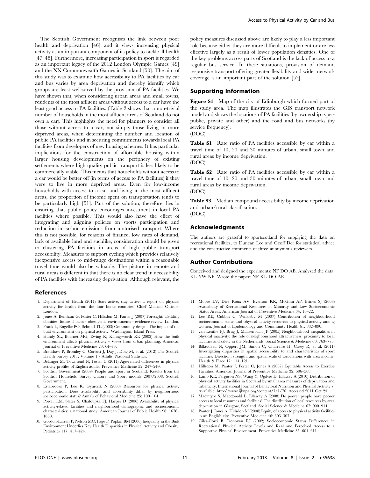The Scottish Government recognises the link between poor health and deprivation [46] and it views increasing physical activity as an important component of its policy to tackle ill-health [47–48]. Furthermore, increasing participation in sport is regarded as an important legacy of the 2012 London Olympic Games [49] and the XX Commonwealth Games in Scotland [50]. The aim of this study was to examine how accessibility to PA facilities by car and bus varies by area deprivation and thereby identify which groups are least well-served by the provision of PA facilities. We have shown that, when considering urban areas and small towns, residents of the most affluent areas without access to a car have the least good access to PA facilities. (Table 2 shows that a non-trivial number of households in the most affluent areas of Scotland do not own a car). This highlights the need for planners to consider all those without access to a car, not simply those living in more deprived areas, when determining the number and location of public PA facilities and in securing commitments towards local PA facilities from developers of new housing schemes. It has particular implications for the construction of affordable housing within larger housing developments on the periphery of existing settlements where high quality public transport is less likely to be commercially viable. This means that households without access to a car would be better off (in terms of access to PA facilities) if they were to live in more deprived areas. Even for low-income households with access to a car and living in the most affluent areas, the proportion of income spent on transportation tends to be particularly high [51]. Part of the solution, therefore, lies in ensuring that public policy encourages investment in local PA facilities where possible. This would also have the effect of integrating and aligning policies on sports participation and reduction in carbon emissions from motorised transport. Where this is not possible, for reasons of finance, low rates of demand, lack of available land and suchlike, consideration should be given to clustering PA facilities in areas of high public transport accessibility. Measures to support cycling which provides relatively inexpensive access to mid-range destinations within a reasonable travel time would also be valuable. The picture in remote and rural areas is different in that there is no clear trend in accessibility of PA facilities with increasing deprivation. Although relevant, the

#### References

- 1. Department of Health (2011) Start active, stay active: a report on physical activity for health from the four home countries' Chief Medical Officers. London.
- 2. Jones A, Bentham G, Foster C, Hillsdon M, Panter J (2007) Foresight: Tackling obesities: future choices - obesogenic environments - evidence review. London. 3. Frank L, Engelke PO, Schmid TL (2003) Community design: The impact of the
- built environment on physical activity. Washington: Island Press.
- 4. Handy SL, Boarnet MG, Ewing R, Killingsworth RE (2002) How the built environment affects physical activity - Views from urban planning. American Journal of Preventive Medicine 23: 64–73.
- 5. Bradshaw P, Bromley C, Corbett J, Day J, Doig M, et al. (2012) The Scottish Health Survey 2011: Volume 1 - Adults. National Statistics.
- 6. Belanger M, Townsend N, Foster C (2011) Age-related differences in physical activity profiles of English adults. Preventice Medicine 52: 247–249.
- 7. Scottish Government (2009) People and sport in Scotland: Results from the Scottish Household Survey Culture and Sport module 2007/2008. Scottish Government.
- 8. Estabrooks P, Lee R, Gyurcsik N (2003) Resources for physical activity participation: Does availability and accessibility differ by neighborhood socioeconomic status? Annals of Behavioral Medicine 25: 100–104.
- 9. Powell LM, Slater S, Chaloupka FJ, Harper D (2006) Availability of physical activity-related facilities and neighborhood demographic and socioeconomic characteristics: a national study. American Journal of Public Health 96: 1676– 1680.
- 10. Gordon-Larsen P, Nelson MC, Page P, Popkin BM (2006) Inequality in the Built Environment Underlies Key Health Disparities in Physical Activity and Obesity. Pediatrics 117: 417–424.

policy measures discussed above are likely to play a less important role because either they are more difficult to implement or are less effective largely as a result of lower population densities. One of the key problems across parts of Scotland is the lack of access to a regular bus service. In these situations, provision of demand responsive transport offering greater flexibility and wider network coverage is an important part of the solution [52].

## Supporting Information

Figure S1 Map of the city of Edinburgh which formed part of the study area. The map illustrates the GIS transport network model and shows the locations of PA facilities (by ownership type public, private and other) and the road and bus networks (by service frequency).

(DOC)

Table S1 Rate ratio of PA facilities accessible by car within a travel time of 10, 20 and 30 minutes of urban, small town and rural areas by income deprivation.

(DOC)

Table S2 Rate ratio of PA facilities accessible by car within a travel time of 10, 20 and 30 minutes of urban, small town and rural areas by income deprivation. (DOC)

Table S3 Median compound accessibility by income deprivation and urban/rural classification.

(DOC)

## Acknowledgments

The authors are grateful to sportscotland for supplying the data on recreational facilities, to Duncan Lee and Geoff Der for statistical advice and the constructive comments of three anonymous reviewers.

#### Author Contributions

Conceived and designed the experiments: NF DO AE. Analyzed the data: KL YW NF. Wrote the paper: NF KL DO AE.

- 11. Moore LV, Diez Roux AV, Evenson KR, McGinn AP, Brines SJ (2008) Availability of Recreational Resources in Minority and Low Socioeconomic Status Areas. American Journal of Preventive Medicine 34: 16–22.
- 12. Lee RE, Cubbin C, Winkleby M (2007) Contribution of neighbourhood socioeconomic status and physical activity resources to physical activity among women. Journal of Epidemiology and Community Health 61: 882–890.
- 13. van Lenthe FJ, Brug J, Mackenbach JP (2005) Neighbourhood inequalities in physical inactivity: the role of neighbourhood attractiveness, proximity to local facilities and safety in the Netherlands. Social Science & Medicine 60: 763–775.
- 14. Billaudeau N, Oppert JM, Simon C, Charreire H, Casey R, et al. (2011) Investigating disparities in spatial accessibility to and characteristics of sport facilities: Direction, strength, and spatial scale of associations with area income. Health & Place 17: 114–121.
- 15. Hillsdon M, Panter J, Foster C, Jones A (2007) Equitable Access to Exercise Facilities. American Journal of Preventive Medicine 32: 506–508.
- 16. Lamb KE, Ferguson NS, Wang Y, Ogilvie D, Ellaway A (2010) Distribution of physical activity facilities in Scotland by small area measures of deprivation and urbanicity. International Journal of Behavioral Nutrition and Physical Activity 7. Available: http://www.ijbnpa.org/content/7/1/76. Accessed 2011 Oct 24.
- 17. Macintyre S, Macdonald L, Ellaway A (2008) Do poorer people have poorer access to local resources and facilities? The distribution of local resources by area deprivation in Glasgow, Scotland. Social Science & Medicine 67: 900–914.
- 18. Panter J, Jones A, Hillsdon M (2008) Equity of access to physical activity facilities in an English city. Preventive Medicine 46: 303–307.
- 19. Giles-Corti B, Donovan RJ (2002) Socioeconomic Status Differences in Recreational Physical Activity Levels and Real and Perceived Access to a Supportive Physical Environment. Preventive Medicine 35: 601–611.